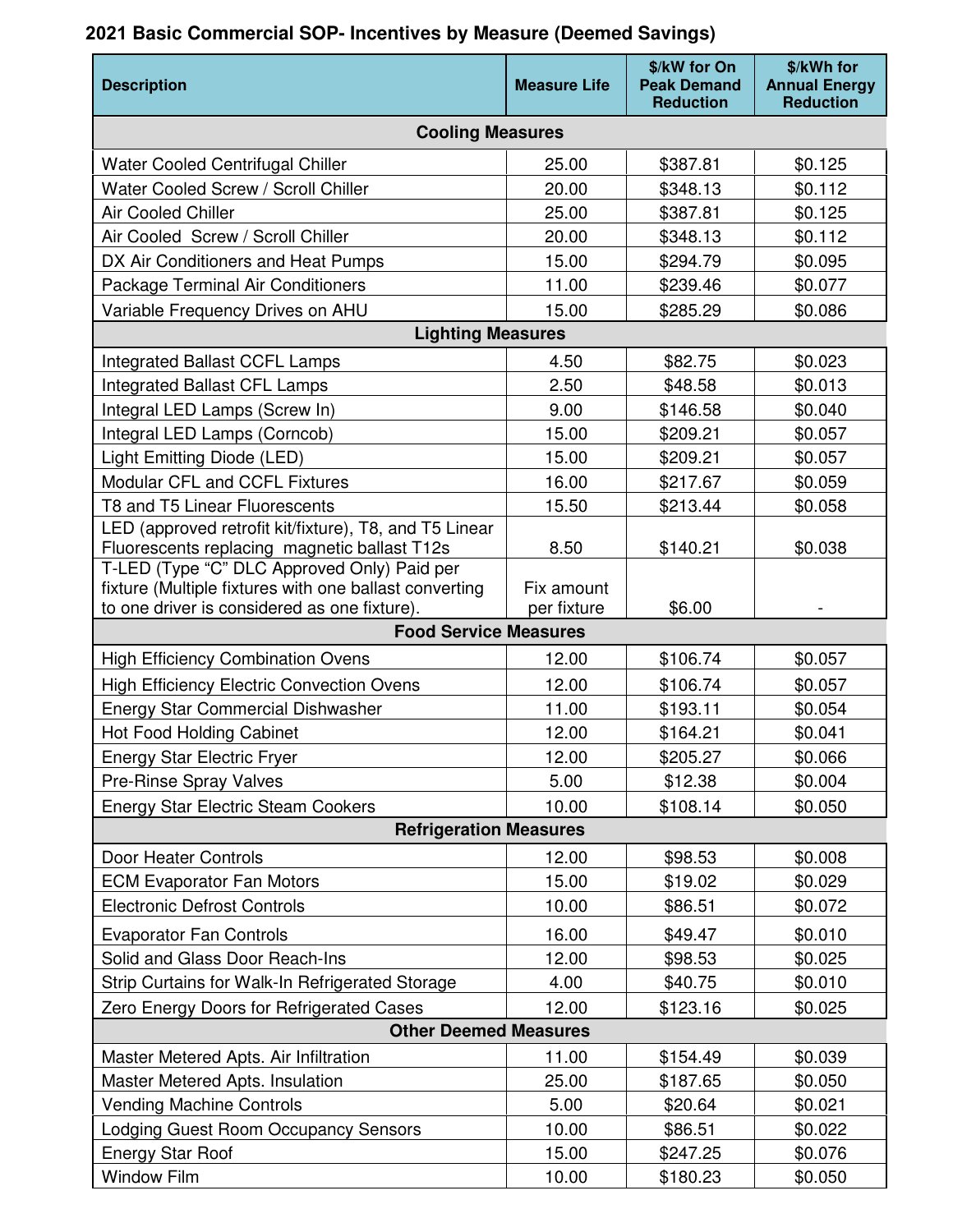## **Description Measure Life According to the Contract of According Life According to According the According Life \$/kW for On Peak Demand Reduction \$/kWh for Annual Energy Reduction Cooling Measures**  Water Cooled Centrifugal Chiller  $\vert$  25.00  $\vert$  \$387.81  $\vert$  \$0.125 Water Cooled Screw / Scroll Chiller  $\vert$  20.00  $\vert$  \$348.13  $\vert$  \$0.112 Air Cooled Chiller 25.00  $\vert$  \$387.81  $\vert$  \$0.125 Air Cooled Screw / Scroll Chiller | 20.00 | \$348.13 | \$0.112 DX Air Conditioners and Heat Pumps | 15.00  $\parallel$  \$294.79 | \$0.095 Package Terminal Air Conditioners | 11.00  $\frac{1}{2}$  \$239.46  $\frac{1}{2}$  \$0.077 Variable Frequency Drives on AHU  $\vert$  15.00  $\vert$  \$285.29  $\vert$  \$0.086 **Lighting Measures**  Integrated Ballast CCFL Lamps  $\vert$  4.50  $\vert$  \$82.75  $\vert$  \$0.023 Integrated Ballast CFL Lamps  $\vert$  2.50  $\vert$  \$48.58  $\vert$  \$0.013  $\lvert \cdot \rvert$  11 Integral LED Lamps (Screw In)  $\lvert \cdot \rvert$  9.00  $\lvert \cdot \rvert$  \$146.58  $\lvert \cdot \rvert$  \$0.040 Integral LED Lamps (Corncob)  $\vert$  15.00  $\vert$  \$209.21  $\vert$  \$0.057 Light Emitting Diode (LED)  $\vert$  15.00  $\vert$  \$209.21  $\vert$  \$0.057 Modular CFL and CCFL Fixtures 16.00 | \$217.67 | \$0.059 T8 and T5 Linear Fluorescents 15.50 | \$213.44 \$0.058 LED (approved retrofit kit/fixture), T8, and T5 Linear Fluorescents replacing magnetic ballast T12s  $\vert$  8.50  $\vert$  \$140.21  $\vert$  \$0.038 T-LED (Type "C" DLC Approved Only) Paid per fixture (Multiple fixtures with one ballast converting to one driver is considered as one fixture). Fix amount per fixture  $\vert$  \$6.00 **Food Service Measures**  High Efficiency Combination Ovens | 12.00 | \$106.74 | \$0.057 High Efficiency Electric Convection Ovens | 12.00 | \$106.74 | \$0.057 Energy Star Commercial Dishwasher  $\vert$  11.00  $\vert$  \$193.11  $\vert$  \$0.054 Hot Food Holding Cabinet 12.00 | \$164.21 | \$0.041 Energy Star Electric Fryer 12.00 | \$205.27 | \$0.066 Pre-Rinse Spray Valves **5.00 5.00 5.00 5.00 5.00 5.00 5.00 5.00 5.00 512.38** Energy Star Electric Steam Cookers 10.00 | \$108.14 | \$0.050 **Refrigeration Measures**  Door Heater Controls 12.00 \$98.53 \$0.008 ECM Evaporator Fan Motors 15.00 \$19.02 \$0.029 Electronic Defrost Controls 10.00 | \$86.51 \$0.072 Evaporator Fan Controls 16.00 | \$49.47 \$0.010 Solid and Glass Door Reach-Ins 12.00 | \$98.53 | \$0.025 Strip Curtains for Walk-In Refrigerated Storage  $\vert$  4.00  $\vert$  \$40.75  $\vert$  \$0.010 Zero Energy Doors for Refrigerated Cases | 12.00 | \$123.16 | \$0.025 **Other Deemed Measures**  Master Metered Apts. Air Infiltration  $\vert$  11.00  $\vert$  \$154.49  $\vert$  \$0.039 Master Metered Apts. Insulation  $\vert$  25.00  $\vert$  \$187.65  $\vert$  \$0.050 Vending Machine Controls **5.00**  $\begin{array}{|c|c|c|c|c|} \hline \text{5.00} & \text{1} & \text{320.64} & \text{1} & \text{30.021} \\ \hline \end{array}$ Lodging Guest Room Occupancy Sensors | 10.00 | \$86.51 | \$0.022 Energy Star Roof **15.00**  $\frac{1}{2}$  \$247.25  $\frac{1}{2}$  \$0.076 Window Film 10.00 \$180.23 \$0.050

## **2021 Basic Commercial SOP- Incentives by Measure (Deemed Savings)**